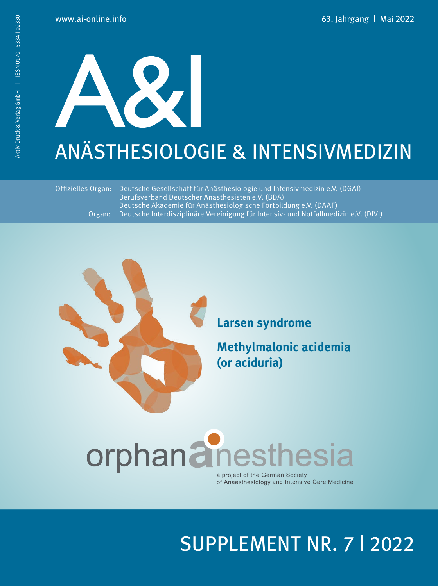# $\boldsymbol{\times}$ ANÄSTHESIOLOGIE & INTENSIVMEDIZIN

 Offizielles Organ: Deutsche Gesellschaft für Anästhesiologie und Intensivmedizin e.V. (DGAI) Berufsverband Deutscher Anästhesisten e.V. (BDA) Deutsche Akademie für Anästhesiologische Fortbildung e.V. (DAAF) Organ: Deutsche Interdisziplinäre Vereinigung für Intensiv- und Notfallmedizin e.V. (DIVI)



**Larsen syndrome** 

**Methylmalonic acidemia (or aciduria)** 

## orphanainesthesia

a project of the German Society of Anaesthesiology and Intensive Care Medicine

### SUPPLEMENT NR. 7 | 2022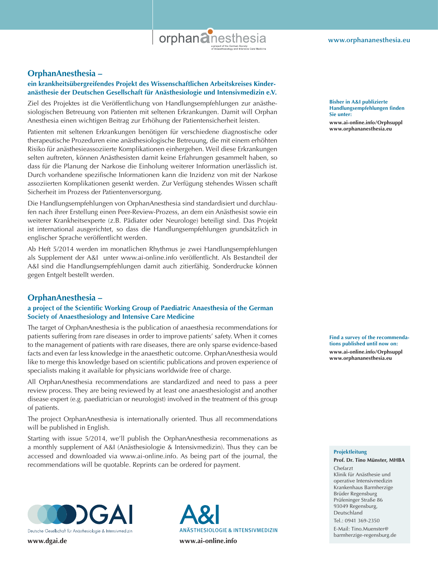

#### **OrphanAnesthesia –**

#### **ein krankheitsübergreifendes Projekt des Wissenschaftlichen Arbeitskreises Kinderanästhesie der Deutschen Gesellschaft für Anästhesiologie und Intensivmedizin e.V.**

Ziel des Projektes ist die Veröffentlichung von Handlungsempfehlungen zur anästhesiologischen Betreuung von Patienten mit seltenen Erkrankungen. Damit will Orphan Anesthesia einen wichtigen Beitrag zur Erhöhung der Patientensicherheit leisten.

Patienten mit seltenen Erkrankungen benötigen für verschiedene diagnostische oder therapeutische Prozeduren eine anästhesiologische Betreuung, die mit einem erhöhten Risiko für anästhesieassoziierte Komplikationen einhergehen. Weil diese Erkrankungen selten auftreten, können Anästhesisten damit keine Erfahrungen gesammelt haben, so dass für die Planung der Narkose die Einholung weiterer Information unerlässlich ist. Durch vorhandene spezifische Informationen kann die Inzidenz von mit der Narkose assoziierten Komplikationen gesenkt werden. Zur Verfügung stehendes Wissen schafft Sicherheit im Prozess der Patientenversorgung.

Die Handlungsempfehlungen von OrphanAnesthesia sind standardisiert und durchlaufen nach ihrer Erstellung einen Peer-Review-Prozess, an dem ein Anästhesist sowie ein weiterer Krankheitsexperte (z.B. Pädiater oder Neurologe) beteiligt sind. Das Projekt ist international ausgerichtet, so dass die Handlungsempfehlungen grundsätzlich in englischer Sprache veröffentlicht werden.

Ab Heft 5/2014 werden im monatlichen Rhythmus je zwei Handlungsempfehlungen als Supplement der A&I unter www.ai-online.info veröffentlicht. Als Bestandteil der A&I sind die Handlungsempfehlungen damit auch zitierfähig. Sonderdrucke können gegen Entgelt bestellt werden.

#### **OrphanAnesthesia –**

#### **a project of the Scientific Working Group of Paediatric Anaesthesia of the German Society of Anaesthesiology and Intensive Care Medicine**

The target of OrphanAnesthesia is the publication of anaesthesia recommendations for patients suffering from rare diseases in order to improve patients' safety. When it comes to the management of patients with rare diseases, there are only sparse evidence-based facts and even far less knowledge in the anaesthetic outcome. OrphanAnesthesia would like to merge this knowledge based on scientific publications and proven experience of specialists making it available for physicians worldwide free of charge.

All OrphanAnesthesia recommendations are standardized and need to pass a peer review process. They are being reviewed by at least one anaesthesiologist and another disease expert (e.g. paediatrician or neurologist) involved in the treatment of this group of patients.

The project OrphanAnesthesia is internationally oriented. Thus all recommendations will be published in English.

Starting with issue 5/2014, we'll publish the OrphanAnesthesia recommenations as a monthly supplement of A&I (Anästhesiologie & Intensivmedizin). Thus they can be accessed and downloaded via www.ai-online.info. As being part of the journal, the recommendations will be quotable. Reprints can be ordered for payment.



ANÄSTHESIOLOGIE & INTENSIVMEDIZIN

**Bisher in A&I publizierte Handlungsempfehlungen finden Sie unter:**

**www.ai-online.info/Orphsuppl www.orphananesthesia.eu**

**Find a survey of the recommendations published until now on: www.ai-online.info/Orphsuppl www.orphananesthesia.eu**

#### **Projektleitung**

**Prof. Dr. Tino Münster, MHBA**

Chefarzt Klinik für Anästhesie und operative Intensivmedizin Krankenhaus Barmherzige Brüder Regensburg Prüfeninger Straße 86 93049 Regensburg, Deutschland

 $Tel: 0941 369 - 2350$ E-Mail: Tino.Muenster@ barmherzige-regensburg.de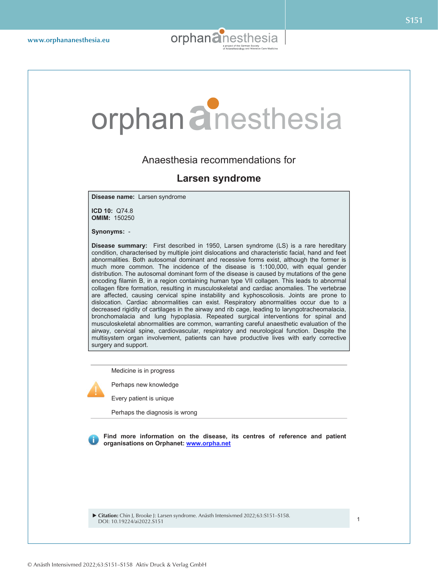

## orphan**a**nesthesia

#### Anaesthesia recommendations for

#### **Larsen syndrome**

**Disease name:** Larsen syndrome

**ICD 10:** Q74.8 **OMIM:** 150250

**Synonyms:** -

**Disease summary:** First described in 1950, Larsen syndrome (LS) is a rare hereditary condition, characterised by multiple joint dislocations and characteristic facial, hand and feet abnormalities. Both autosomal dominant and recessive forms exist, although the former is much more common. The incidence of the disease is 1:100,000, with equal gender distribution. The autosomal dominant form of the disease is caused by mutations of the gene encoding filamin B, in a region containing human type VII collagen. This leads to abnormal collagen fibre formation, resulting in musculoskeletal and cardiac anomalies. The vertebrae are affected, causing cervical spine instability and kyphoscoliosis. Joints are prone to dislocation. Cardiac abnormalities can exist. Respiratory abnormalities occur due to a decreased rigidity of cartilages in the airway and rib cage, leading to laryngotracheomalacia, bronchomalacia and lung hypoplasia. Repeated surgical interventions for spinal and musculoskeletal abnormalities are common, warranting careful anaesthetic evaluation of the airway, cervical spine, cardiovascular, respiratory and neurological function. Despite the multisystem organ involvement, patients can have productive lives with early corrective surgery and support.

Medicine is in progress

Perhaps new knowledge

Every patient is unique

Perhaps the diagnosis is wrong

**Find more information on the disease, its centres of reference and patient organisations on Orphanet: www.orpha.net**

 **Citation:** Chin J, Brooke J: Larsen syndrome. Anästh Intensivmed 2022;63:S151–S158. DOI: 10.19224/ai2022.S151 1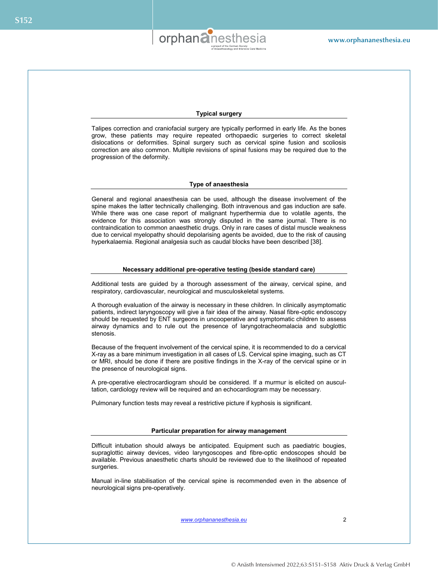

#### **Typical surgery**

Talipes correction and craniofacial surgery are typically performed in early life. As the bones grow, these patients may require repeated orthopaedic surgeries to correct skeletal dislocations or deformities. Spinal surgery such as cervical spine fusion and scoliosis correction are also common. Multiple revisions of spinal fusions may be required due to the progression of the deformity.

#### **Type of anaesthesia**

General and regional anaesthesia can be used, although the disease involvement of the spine makes the latter technically challenging. Both intravenous and gas induction are safe. While there was one case report of malignant hyperthermia due to volatile agents, the evidence for this association was strongly disputed in the same journal. There is no contraindication to common anaesthetic drugs. Only in rare cases of distal muscle weakness due to cervical myelopathy should depolarising agents be avoided, due to the risk of causing hyperkalaemia. Regional analgesia such as caudal blocks have been described [38].

#### **Necessary additional pre-operative testing (beside standard care)**

Additional tests are guided by a thorough assessment of the airway, cervical spine, and respiratory, cardiovascular, neurological and musculoskeletal systems.

A thorough evaluation of the airway is necessary in these children. In clinically asymptomatic patients, indirect laryngoscopy will give a fair idea of the airway. Nasal fibre-optic endoscopy should be requested by ENT surgeons in uncooperative and symptomatic children to assess airway dynamics and to rule out the presence of laryngotracheomalacia and subglottic stenosis.

Because of the frequent involvement of the cervical spine, it is recommended to do a cervical X-ray as a bare minimum investigation in all cases of LS. Cervical spine imaging, such as CT or MRI, should be done if there are positive findings in the X-ray of the cervical spine or in the presence of neurological signs.

A pre-operative electrocardiogram should be considered. If a murmur is elicited on auscultation, cardiology review will be required and an echocardiogram may be necessary.

Pulmonary function tests may reveal a restrictive picture if kyphosis is significant.

#### **Particular preparation for airway management**

Difficult intubation should always be anticipated. Equipment such as paediatric bougies, supraglottic airway devices, video laryngoscopes and fibre-optic endoscopes should be available. Previous anaesthetic charts should be reviewed due to the likelihood of repeated surgeries.

Manual in-line stabilisation of the cervical spine is recommended even in the absence of neurological signs pre-operatively.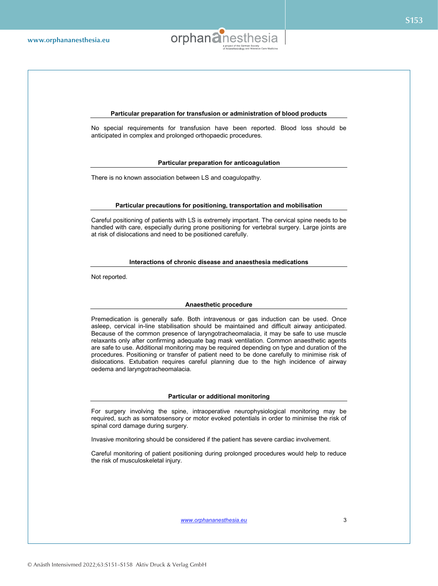

#### **Particular preparation for transfusion or administration of blood products**

No special requirements for transfusion have been reported. Blood loss should be anticipated in complex and prolonged orthopaedic procedures.

#### **Particular preparation for anticoagulation**

There is no known association between LS and coagulopathy.

#### **Particular precautions for positioning, transportation and mobilisation**

Careful positioning of patients with LS is extremely important. The cervical spine needs to be handled with care, especially during prone positioning for vertebral surgery. Large joints are at risk of dislocations and need to be positioned carefully.

#### **Interactions of chronic disease and anaesthesia medications**

Not reported.

#### **Anaesthetic procedure**

Premedication is generally safe. Both intravenous or gas induction can be used. Once asleep, cervical in-line stabilisation should be maintained and difficult airway anticipated. Because of the common presence of laryngotracheomalacia, it may be safe to use muscle relaxants only after confirming adequate bag mask ventilation. Common anaesthetic agents are safe to use. Additional monitoring may be required depending on type and duration of the procedures. Positioning or transfer of patient need to be done carefully to minimise risk of dislocations. Extubation requires careful planning due to the high incidence of airway oedema and laryngotracheomalacia.

#### **Particular or additional monitoring**

For surgery involving the spine, intraoperative neurophysiological monitoring may be required, such as somatosensory or motor evoked potentials in order to minimise the risk of spinal cord damage during surgery.

Invasive monitoring should be considered if the patient has severe cardiac involvement.

Careful monitoring of patient positioning during prolonged procedures would help to reduce the risk of musculoskeletal injury.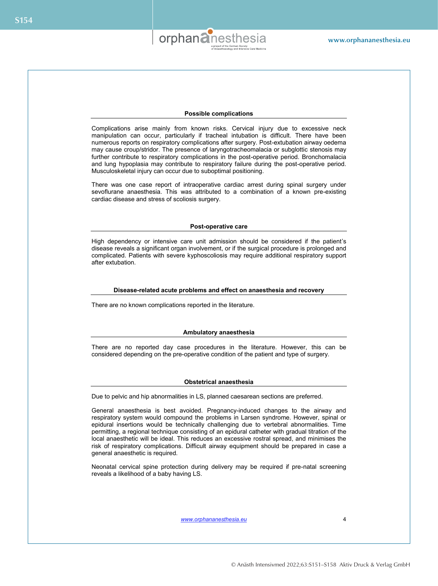

#### **Possible complications**

Complications arise mainly from known risks. Cervical injury due to excessive neck manipulation can occur, particularly if tracheal intubation is difficult. There have been numerous reports on respiratory complications after surgery. Post-extubation airway oedema may cause croup/stridor. The presence of laryngotracheomalacia or subglottic stenosis may further contribute to respiratory complications in the post-operative period. Bronchomalacia and lung hypoplasia may contribute to respiratory failure during the post-operative period. Musculoskeletal injury can occur due to suboptimal positioning.

There was one case report of intraoperative cardiac arrest during spinal surgery under sevoflurane anaesthesia. This was attributed to a combination of a known pre-existing cardiac disease and stress of scoliosis surgery.

#### **Post-operative care**

High dependency or intensive care unit admission should be considered if the patient's disease reveals a significant organ involvement, or if the surgical procedure is prolonged and complicated. Patients with severe kyphoscoliosis may require additional respiratory support after extubation.

#### **Disease-related acute problems and effect on anaesthesia and recovery**

There are no known complications reported in the literature.

#### **Ambulatory anaesthesia**

There are no reported day case procedures in the literature. However, this can be considered depending on the pre-operative condition of the patient and type of surgery.

#### **Obstetrical anaesthesia**

Due to pelvic and hip abnormalities in LS, planned caesarean sections are preferred.

General anaesthesia is best avoided. Pregnancy-induced changes to the airway and respiratory system would compound the problems in Larsen syndrome. However, spinal or epidural insertions would be technically challenging due to vertebral abnormalities. Time permitting, a regional technique consisting of an epidural catheter with gradual titration of the local anaesthetic will be ideal. This reduces an excessive rostral spread, and minimises the risk of respiratory complications. Difficult airway equipment should be prepared in case a general anaesthetic is required.

Neonatal cervical spine protection during delivery may be required if pre-natal screening reveals a likelihood of a baby having LS.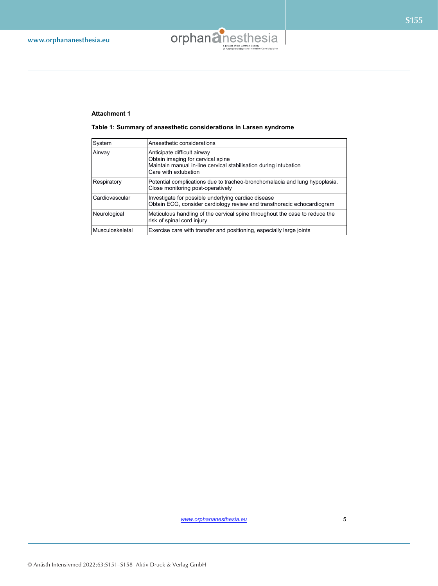

#### **Attachment 1**

**Table 1: Summary of anaesthetic considerations in Larsen syndrome** 

| System          | Anaesthetic considerations                                                                                                                                   |
|-----------------|--------------------------------------------------------------------------------------------------------------------------------------------------------------|
| Airway          | Anticipate difficult airway<br>Obtain imaging for cervical spine<br>Maintain manual in-line cervical stabilisation during intubation<br>Care with extubation |
| Respiratory     | Potential complications due to tracheo-bronchomalacia and lung hypoplasia.<br>Close monitoring post-operatively                                              |
| Cardiovascular  | Investigate for possible underlying cardiac disease<br>Obtain ECG, consider cardiology review and transthoracic echocardiogram                               |
| Neurological    | Meticulous handling of the cervical spine throughout the case to reduce the<br>risk of spinal cord injury                                                    |
| Musculoskeletal | Exercise care with transfer and positioning, especially large joints                                                                                         |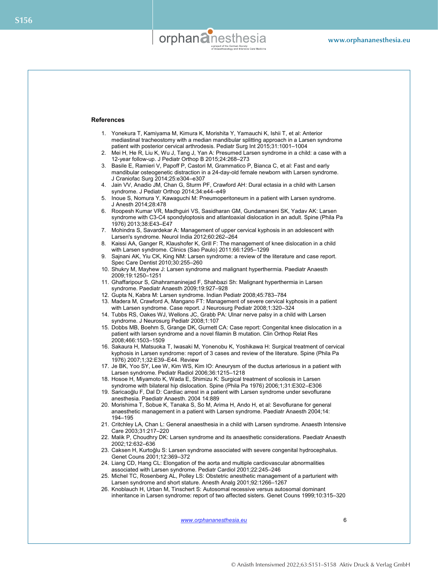

#### **References**

- 1. Yonekura T, Kamiyama M, Kimura K, Morishita Y, Yamauchi K, Ishii T, et al: Anterior mediastinal tracheostomy with a median mandibular splitting approach in a Larsen syndrome patient with posterior cervical arthrodesis. Pediatr Surg Int 2015;31:1001–1004
- 2. Mei H, He R, Liu K, Wu J, Tang J, Yan A: Presumed Larsen syndrome in a child: a case with a 12-year follow-up. J Pediatr Orthop B 2015;24:268–273
- 3. Basile E, Ramieri V, Papoff P, Castori M, Grammatico P, Bianca C, et al: Fast and early mandibular osteogenetic distraction in a 24-day-old female newborn with Larsen syndrome. J Craniofac Surg 2014;25:e304–e307
- 4. Jain VV, Anadio JM, Chan G, Sturm PF, Crawford AH: Dural ectasia in a child with Larsen syndrome. J Pediatr Orthop 2014;34:e44–e49
- 5. Inoue S, Nomura Y, Kawaguchi M: Pneumoperitoneum in a patient with Larsen syndrome. J Anesth 2014;28:478
- 6. Roopesh Kumar VR, Madhguiri VS, Sasidharan GM, Gundamaneni SK, Yadav AK: Larsen syndrome with C3-C4 spondyloptosis and atlantoaxial dislocation in an adult. Spine (Phila Pa 1976) 2013;38:E43–E47
- 7. Mohindra S, Savardekar A: Management of upper cervical kyphosis in an adolescent with Larsen's syndrome. Neurol India 2012;60:262–264
- 8. Kaissi AA, Ganger R, Klaushofer K, Grill F: The management of knee dislocation in a child with Larsen syndrome. Clinics (Sao Paulo) 2011;66:1295–1299
- 9. Sajnani AK, Yiu CK, King NM: Larsen syndrome: a review of the literature and case report. Spec Care Dentist 2010;30:255–260
- 10. Shukry M, Mayhew J: Larsen syndrome and malignant hyperthermia. Paediatr Anaesth 2009;19:1250–1251
- 11. Ghaffaripour S, Ghahramaninejad F, Shahbazi Sh: Malignant hyperthermia in Larsen syndrome. Paediatr Anaesth 2009;19:927–928
- 12. Gupta N, Kabra M: Larsen syndrome. Indian Pediatr 2008;45:783–784
- 13. Madera M, Crawford A, Mangano FT: Management of severe cervical kyphosis in a patient with Larsen syndrome. Case report. J Neurosurg Pediatr 2008;1:320–324
- 14. Tubbs RS, Oakes WJ, Wellons JC, Grabb PA: Ulnar nerve palsy in a child with Larsen syndrome. J Neurosurg Pediatr 2008;1:107
- 15. Dobbs MB, Boehm S, Grange DK, Gurnett CA: Case report: Congenital knee dislocation in a patient with larsen syndrome and a novel filamin B mutation. Clin Orthop Relat Res 2008;466:1503–1509
- 16. Sakaura H, Matsuoka T, Iwasaki M, Yonenobu K, Yoshikawa H: Surgical treatment of cervical kyphosis in Larsen syndrome: report of 3 cases and review of the literature. Spine (Phila Pa 1976) 2007;1;32:E39–E44. Review
- 17. Je BK, Yoo SY, Lee W, Kim WS, Kim IO: Aneurysm of the ductus arteriosus in a patient with Larsen syndrome. Pediatr Radiol 2006;36:1215–1218
- 18. Hosoe H, Miyamoto K, Wada E, Shimizu K: Surgical treatment of scoliosis in Larsen syndrome with bilateral hip dislocation. Spine (Phila Pa 1976) 2006;1;31:E302–E306
- 19. Saricaoğlu F, Dal D: Cardiac arrest in a patient with Larsen syndrome under sevoflurane anesthesia. Paediatr Anaesth. 2004 14:889
- 20. Morishima T, Sobue K, Tanaka S, So M, Arima H, Ando H, et al: Sevoflurane for general anaesthetic management in a patient with Larsen syndrome. Paediatr Anaesth 2004;14: 194–195
- 21. Critchley LA, Chan L: General anaesthesia in a child with Larsen syndrome. Anaesth Intensive Care 2003;31:217–220
- 22. Malik P, Choudhry DK: Larsen syndrome and its anaesthetic considerations. Paediatr Anaesth 2002;12:632–636
- 23. Caksen H, Kurtoğlu S: Larsen syndrome associated with severe congenital hydrocephalus. Genet Couns 2001;12:369–372
- 24. Liang CD, Hang CL: Elongation of the aorta and multiple cardiovascular abnormalities associated with Larsen syndrome. Pediatr Cardiol 2001;22:245–246
- 25. Michel TC, Rosenberg AL, Polley LS: Obstetric anesthetic management of a parturient with Larsen syndrome and short stature. Anesth Analg 2001;92:1266–1267
- 26. Knoblauch H, Urban M, Tinschert S: Autosomal recessive versus autosomal dominant inheritance in Larsen syndrome: report of two affected sisters. Genet Couns 1999;10:315–320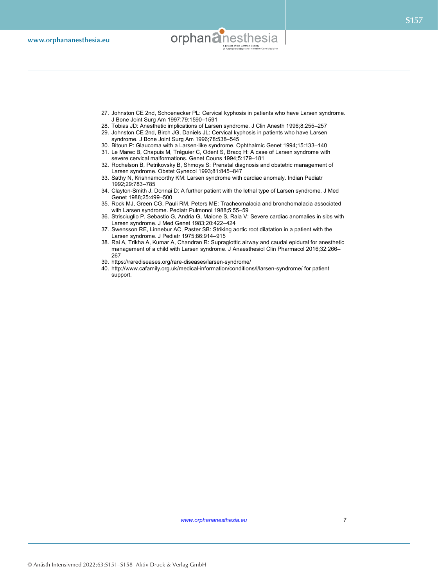

- 27. Johnston CE 2nd, Schoenecker PL: Cervical kyphosis in patients who have Larsen syndrome. J Bone Joint Surg Am 1997;79:1590–1591
- 28. Tobias JD: Anesthetic implications of Larsen syndrome. J Clin Anesth 1996;8:255–257
- 29. Johnston CE 2nd, Birch JG, Daniels JL: Cervical kyphosis in patients who have Larsen syndrome. J Bone Joint Surg Am 1996;78:538–545
- 30. Bitoun P: Glaucoma with a Larsen-like syndrome. Ophthalmic Genet 1994;15:133–140
- 31. Le Marec B, Chapuis M, Tréguier C, Odent S, Bracq H: A case of Larsen syndrome with severe cervical malformations. Genet Couns 1994;5:179–181
- 32. Rochelson B, Petrikovsky B, Shmoys S: Prenatal diagnosis and obstetric management of Larsen syndrome. Obstet Gynecol 1993;81:845–847
- 33. Sathy N, Krishnamoorthy KM: Larsen syndrome with cardiac anomaly. Indian Pediatr 1992;29:783–785
- 34. Clayton-Smith J, Donnai D: A further patient with the lethal type of Larsen syndrome. J Med Genet 1988;25:499–500
- 35. Rock MJ, Green CG, Pauli RM, Peters ME: Tracheomalacia and bronchomalacia associated with Larsen syndrome. Pediatr Pulmonol 1988;5:55–59
- 36. Strisciuglio P, Sebastio G, Andria G, Maione S, Raia V: Severe cardiac anomalies in sibs with Larsen syndrome. J Med Genet 1983;20:422–424
- 37. Swensson RE, Linnebur AC, Paster SB: Striking aortic root dilatation in a patient with the Larsen syndrome. J Pediatr 1975;86:914–915
- 38. Rai A, Trikha A, Kumar A, Chandran R: Supraglottic airway and caudal epidural for anesthetic management of a child with Larsen syndrome. J Anaesthesiol Clin Pharmacol 2016;32:266– 267
- 39. https://rarediseases.org/rare-diseases/larsen-syndrome/
- 40. http://www.cafamily.org.uk/medical-information/conditions/l/larsen-syndrome/ for patient support.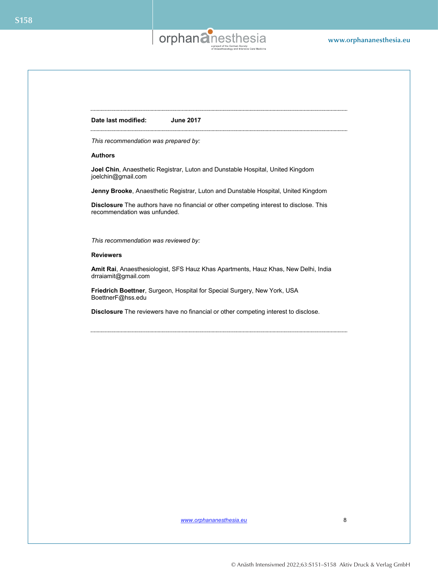

**Date last modified: June 2017**

*This recommendation was prepared by:* 

#### **Authors**

**Joel Chin**, Anaesthetic Registrar, Luton and Dunstable Hospital, United Kingdom joelchin@gmail.com

**Jenny Brooke**, Anaesthetic Registrar, Luton and Dunstable Hospital, United Kingdom

**Disclosure** The authors have no financial or other competing interest to disclose. This recommendation was unfunded.

*This recommendation was reviewed by:*

#### **Reviewers**

**Amit Rai**, Anaesthesiologist, SFS Hauz Khas Apartments, Hauz Khas, New Delhi, India drraiamit@gmail.com

**Friedrich Boettner**, Surgeon, Hospital for Special Surgery, New York, USA BoettnerF@hss.edu

**Disclosure** The reviewers have no financial or other competing interest to disclose.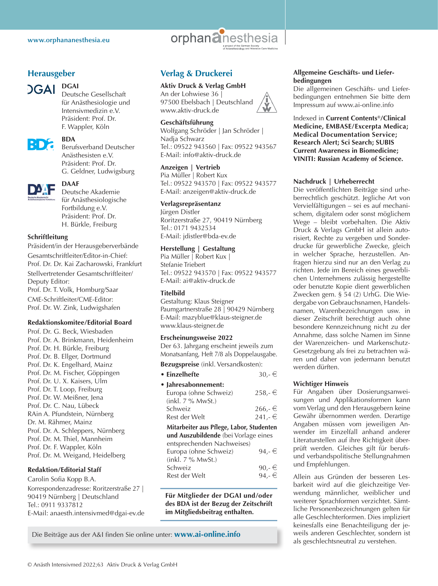

#### **Herausgeber**



#### **DGAI**

Deutsche Gesellschaft für Anästhesiologie und Intensivmedizin e.V. Präsident: Prof. Dr. F. Wappler, Köln



#### **BDA**

Berufsverband Deutscher Anästhesisten e.V. Präsident: Prof. Dr. G. Geldner, Ludwigsburg



#### **DAAF**

Deutsche Akademie für Anästhesiologische Fortbildung e.V. Präsident: Prof. Dr. H. Bürkle, Freiburg

#### **Schriftleitung**

Präsident/in der Herausgeberverbände Gesamtschriftleiter/Editor-in-Chief: Prof. Dr. Dr. Kai Zacharowski, Frankfurt Stellvertretender Gesamtschriftleiter/ Deputy Editor: Prof. Dr. T. Volk, Homburg/Saar CME-Schriftleiter/CME-Editor: Prof. Dr. W. Zink, Ludwigshafen

#### **Redaktionskomitee/Editorial Board**

Prof. Dr. G. Beck, Wiesbaden Prof. Dr. A. Brinkmann, Heidenheim Prof. Dr. H. Bürkle, Freiburg Prof. Dr. B. Ellger, Dortmund Prof. Dr. K. Engelhard, Mainz Prof. Dr. M. Fischer, Göppingen Prof. Dr. U. X. Kaisers, Ulm Prof. Dr. T. Loop, Freiburg Prof. Dr. W. Meißner, Jena Prof. Dr. C. Nau, Lübeck RAin A. Pfundstein, Nürnberg Dr. M. Rähmer, Mainz Prof. Dr. A. Schleppers, Nürnberg Prof. Dr. M. Thiel, Mannheim Prof. Dr. F. Wappler, Köln Prof. Dr. M. Weigand, Heidelberg

#### **Redaktion/Editorial Staff**

Carolin Sofia Kopp B.A. Korrespondenzadresse: Roritzerstraße 27 | 90419 Nürnberg | Deutschland Tel.: 0911 9337812 E-Mail: anaesth.intensivmed@dgai-ev.de

#### **Verlag & Druckerei**

#### **Aktiv Druck & Verlag GmbH**

An der Lohwiese 36 | 97500 Ebelsbach | Deutschland www.aktiv-druck.de

#### **Geschäftsführung**

Wolfgang Schröder | Jan Schröder | Nadja Schwarz Tel.: 09522 943560 | Fax: 09522 943567 E-Mail: info@aktiv-druck.de

#### **Anzeigen | Vertrieb**

Pia Müller | Robert Kux Tel.: 09522 943570 | Fax: 09522 943577 E-Mail: anzeigen@aktiv-druck.de

#### **Verlagsrepräsentanz**

Jürgen Distler Roritzerstraße 27, 90419 Nürnberg Tel.: 0171 9432534 E-Mail: jdistler@bda-ev.de

#### **Herstellung | Gestaltung**

Pia Müller | Robert Kux | Stefanie Triebert Tel.: 09522 943570 | Fax: 09522 943577 E-Mail: ai@aktiv-druck.de

#### **Titelbild**

Gestaltung: Klaus Steigner Paumgartnerstraße 28 | 90429 Nürnberg E-Mail: mazyblue@klaus-steigner.de www.klaus-steigner.de

#### **Erscheinungsweise 2022**

Der 63. Jahrgang erscheint jeweils zum Monatsanfang, Heft 7/8 als Doppelausgabe.

**Bezugspreise** (inkl. Versandkosten):

| • Einzelhefte                            | $30.-€$   |
|------------------------------------------|-----------|
| • Jahresabonnement:                      |           |
| Europa (ohne Schweiz)                    | $258,-$ € |
| (inkl. 7 % MwSt.)                        |           |
| Schweiz                                  | $266,-$ ∈ |
| Rest der Welt                            | $241,-$ ∈ |
| Mitarbeiter aus Pflege, Labor, Studenten |           |
| und Auszubildende (bei Vorlage eines     |           |
| entsprechenden Nachweises)               |           |
| Europa (ohne Schweiz)                    | 94.- €    |
|                                          |           |
| (inkl. 7 % MwSt.)                        |           |
| Schweiz                                  | $90,-\in$ |
| Rest der Welt                            | 94.- €    |

**Für Mitglieder der DGAI und/oder des BDA ist der Bezug der Zeitschrift im Mitgliedsbeitrag enthalten.**

**Allgemeine Geschäfts- und Lieferbedingungen**

Die allgemeinen Geschäfts- und Lieferbedingungen entnehmen Sie bitte dem Impressum auf www.ai-online.info

#### Indexed in **Current Contents®/Clinical Medicine, EMBASE/Excerpta Medica; Medical Documentation Service; Research Alert; Sci Search; SUBIS Current Awareness in Biomedicine; VINITI: Russian Academy of Science.**

#### **Nachdruck | Urheberrecht**

Die veröffentlichten Beiträge sind urheberrechtlich geschützt. Jegliche Art von Vervielfältigungen – sei es auf mechanischem, digitalem oder sonst möglichem Wege – bleibt vorbehalten. Die Aktiv Druck & Verlags GmbH ist allein autorisiert, Rechte zu vergeben und Sonderdrucke für gewerbliche Zwecke, gleich in welcher Sprache, herzustellen. Anfragen hierzu sind nur an den Verlag zu richten. Jede im Bereich eines gewerblichen Unternehmens zulässig hergestellte oder benutzte Kopie dient gewerblichen Zwecken gem. § 54 (2) UrhG. Die Wiedergabe von Gebrauchsnamen, Handelsnamen, Warenbezeichnungen usw. in dieser Zeitschrift berechtigt auch ohne besondere Kennzeichnung nicht zu der Annahme, dass solche Namen im Sinne der Warenzeichen- und Markenschutz-Gesetzgebung als frei zu betrachten wären und daher von jedermann benutzt werden dürften.

#### **Wichtiger Hinweis**

Für Angaben über Dosierungsanweisungen und Applikationsformen kann vom Verlag und den Herausgebern keine Gewähr übernommen werden. Derartige Angaben müssen vom jeweiligen Anwender im Einzelfall anhand anderer Literaturstellen auf ihre Richtigkeit überprüft werden. Gleiches gilt für berufsund verbandspolitische Stellungnahmen und Empfehlungen.

Allein aus Gründen der besseren Lesbarkeit wird auf die gleichzeitige Verwendung männlicher, weiblicher und weiterer Sprachformen verzichtet. Sämtliche Personenbezeichnungen gelten für alle Geschlechterformen. Dies impliziert keinesfalls eine Benachteiligung der jeweils anderen Geschlechter, sondern ist als geschlechtsneutral zu verstehen.

Die Beiträge aus der A&I finden Sie online unter: **www.ai-online.info**